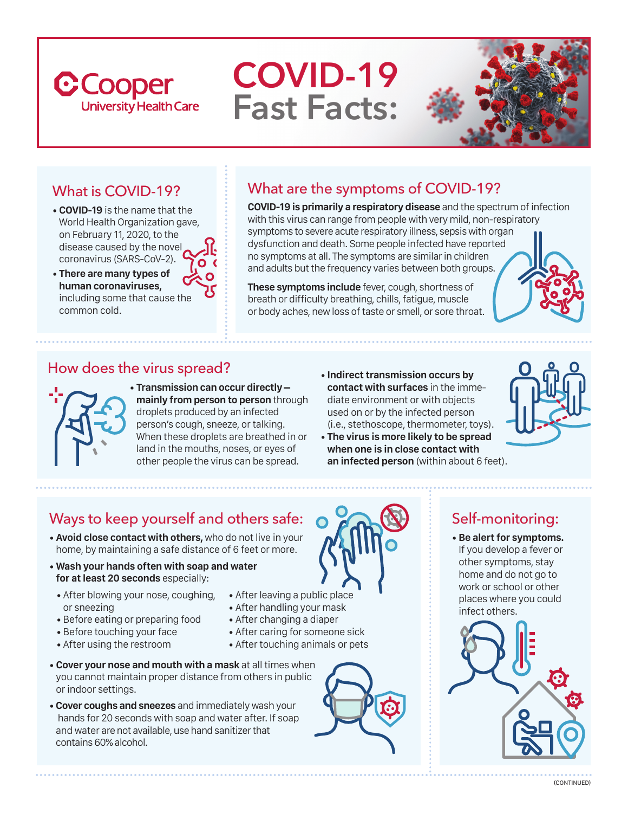# **C**Cooper **University Health Care**

# **COVID-19 Fast Facts:**



# What is COVID-19?

- **COVID-19** is the name that the World Health Organization gave, on February 11, 2020, to the disease caused by the novel coronavirus (SARS-CoV-2).
- **There are many types of human coronaviruses,** including some that cause the common cold.

# What are the symptoms of COVID-19?

**COVID-19 is primarily a respiratory disease** and the spectrum of infection with this virus can range from people with very mild, non-respiratory symptoms to severe acute respiratory illness, sepsis with organ dysfunction and death. Some people infected have reported no symptoms at all. The symptoms are similar in children and adults but the frequency varies between both groups.

**These symptoms include** fever, cough, shortness of breath or difficulty breathing, chills, fatigue, muscle or body aches, new loss of taste or smell, or sore throat.



#### How does the virus spread?



• **Transmission can occur directly – mainly from person to person**through droplets produced by an infected person's cough, sneeze, or talking. When these droplets are breathed in or land in the mouths, noses, or eyes of other people the virus can be spread.

• **Indirect transmission occurs by contact with surfaces** in the immediate environment or with objects used on or by the infected person (i.e., stethoscope, thermometer, toys).



• **The virus is more likely to be spread when one is in close contact with an infected person** (within about 6 feet).

## Ways to keep yourself and others safe:

- **Avoid close contact with others,** who do not live in your home, by maintaining a safe distance of 6 feet or more.
- **Wash your hands often with soap and water for at least 20 seconds** especially:
- After blowing your nose, coughing, or sneezing
- Before eating or preparing food
- Before touching your face
- After using the restroom
- After leaving a public place
- After handling your mask
- After changing a diaper
- After caring for someone sick
- After touching animals or pets
- **Cover your nose and mouth with a mask** at all times when you cannot maintain proper distance from others in public or indoor settings.
- **Cover coughs and sneezes** and immediately wash your hands for 20 seconds with soap and water after. If soap and water are not available, use hand sanitizer that contains 60% alcohol.



# Self-monitoring:

• **Be alert for symptoms.** If you develop a fever or other symptoms, stay home and do not go to work or school or other places where you could infect others.